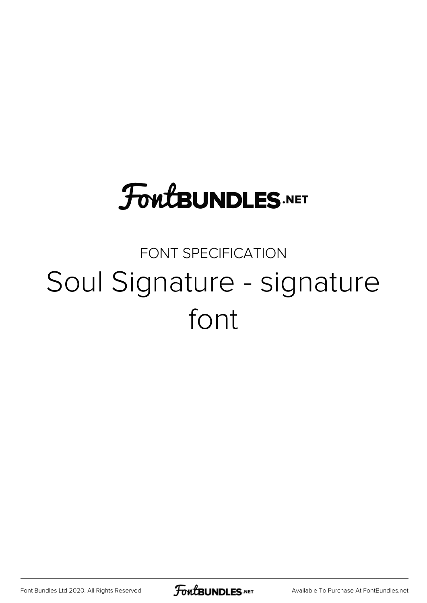## **FoutBUNDLES.NET**

## FONT SPECIFICATION Soul Signature - signature font

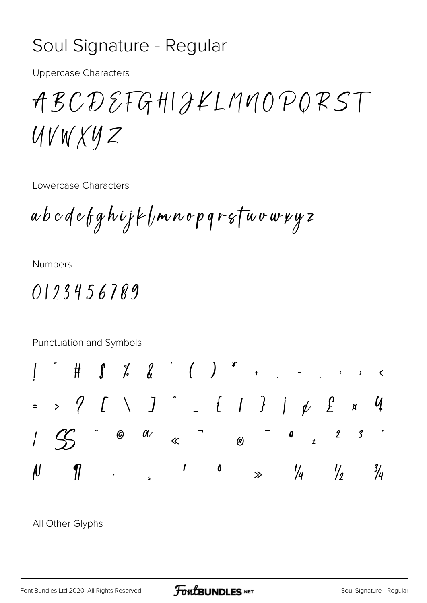## Soul Signature - Regular

**Uppercase Characters** 

ABCDEFGHIJKLMMOPORST UVWXYZ

Lowercase Characters

a b c d e f g h i j k l m n o p q r s f u v w x y z

**Numbers** 

## 0123456789

Punctuation and Symbols  $\# \, \text{\bf 1} \, \text{\bf 1} \, \text{\bf 2} \, \text{\bf 3} \, \text{\bf 4} \, \text{\bf 5} \, \text{\bf 6} \, \text{\bf 7} \, \text{\bf 8} \, \text{\bf 1} \, \text{\bf 1} \, \text{\bf 1} \, \text{\bf 1} \, \text{\bf 1} \, \text{\bf 1} \, \text{\bf 1} \, \text{\bf 1} \, \text{\bf 1} \, \text{\bf 1} \, \text{\bf 1} \, \text{\bf 1} \, \text{\bf 1} \, \text{\bf 1} \, \text{\bf 1} \,$  $> 9$   $[$   $[$   $]$   $]$   $[$   $[$   $]$   $[$   $]$   $[$   $]$   $[$   $[$   $]$   $[$   $]$   $[$   $[$   $]$   $[$   $]$   $[$   $]$   $[$   $]$   $[$   $]$   $[$   $]$   $[$   $]$   $[$   $]$   $[$   $]$   $[$   $]$   $[$   $]$   $[$   $]$   $[$   $]$   $[$   $]$   $[$   $]$   $[$   $]$   $[$   $]$   $[$   $]$   $[$  $\mathcal{U}$  $\chi$  $\begin{array}{c} \n\mathbf{r} \quad \mathbf{r} \quad \mathbf{r} \quad \mathbf{r} \quad \mathbf{r} \quad \mathbf{r} \quad \mathbf{r} \quad \mathbf{r} \quad \mathbf{r} \quad \mathbf{r} \quad \mathbf{r} \quad \mathbf{r} \quad \mathbf{r} \quad \mathbf{r} \quad \mathbf{r} \quad \mathbf{r} \quad \mathbf{r} \quad \mathbf{r} \quad \mathbf{r} \quad \mathbf{r} \quad \mathbf{r} \quad \mathbf{r} \quad \mathbf{r} \quad \mathbf{r} \quad \mathbf{r} \quad \mathbf{r} \quad \mathbf$  $\overline{\phantom{a}}$  0  $\circledcirc$  $\alpha$  $\mathcal{S}$  $\frac{1}{l}$  $\mathcal{S}$  $\boldsymbol{2}$  $\overline{R}$  $\overline{\mathcal{N}}$  $\prime$  $\overline{\phantom{a}}$  $\frac{1}{2}$  $\eta$  $\frac{1}{4}$  $\frac{3}{4}$  $\gg$ 

All Other Glyphs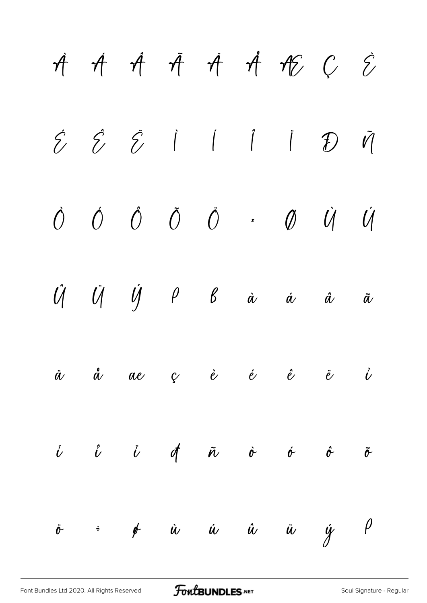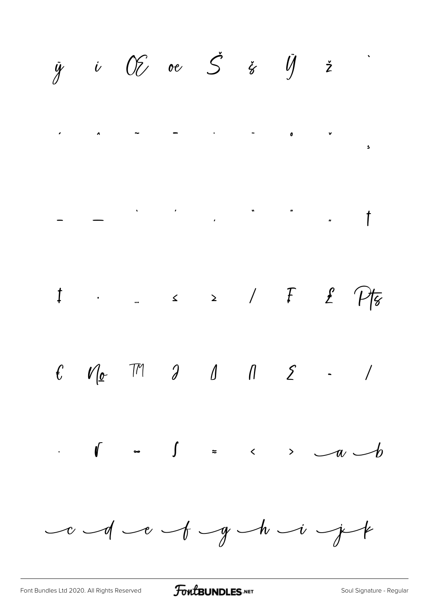